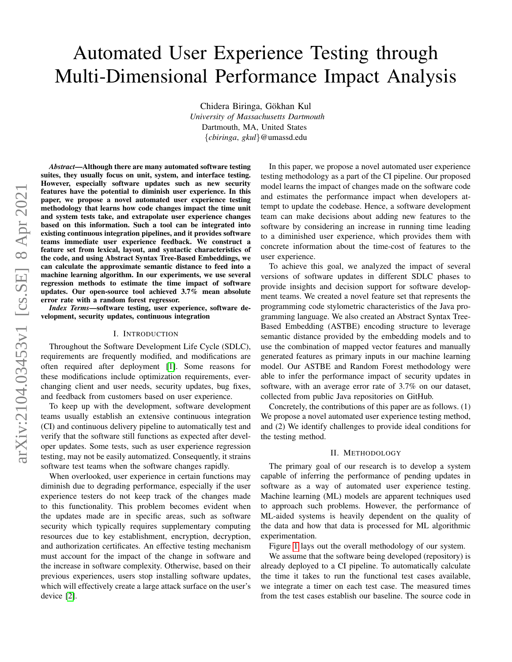# Automated User Experience Testing through Multi-Dimensional Performance Impact Analysis

Chidera Biringa, Gökhan Kul *University of Massachusetts Dartmouth* Dartmouth, MA, United States {*cbiringa*, *gkul*}@umassd.edu

*Abstract*—Although there are many automated software testing suites, they usually focus on unit, system, and interface testing. However, especially software updates such as new security features have the potential to diminish user experience. In this paper, we propose a novel automated user experience testing methodology that learns how code changes impact the time unit and system tests take, and extrapolate user experience changes based on this information. Such a tool can be integrated into existing continuous integration pipelines, and it provides software teams immediate user experience feedback. We construct a feature set from lexical, layout, and syntactic characteristics of the code, and using Abstract Syntax Tree-Based Embeddings, we can calculate the approximate semantic distance to feed into a machine learning algorithm. In our experiments, we use several regression methods to estimate the time impact of software updates. Our open-source tool achieved 3.7% mean absolute error rate with a random forest regressor.

*Index Terms*—software testing, user experience, software development, security updates, continuous integration

## I. INTRODUCTION

Throughout the Software Development Life Cycle (SDLC), requirements are frequently modified, and modifications are often required after deployment [\[1\]](#page-3-0). Some reasons for these modifications include optimization requirements, everchanging client and user needs, security updates, bug fixes, and feedback from customers based on user experience.

To keep up with the development, software development teams usually establish an extensive continuous integration (CI) and continuous delivery pipeline to automatically test and verify that the software still functions as expected after developer updates. Some tests, such as user experience regression testing, may not be easily automatized. Consequently, it strains software test teams when the software changes rapidly.

When overlooked, user experience in certain functions may diminish due to degrading performance, especially if the user experience testers do not keep track of the changes made to this functionality. This problem becomes evident when the updates made are in specific areas, such as software security which typically requires supplementary computing resources due to key establishment, encryption, decryption, and authorization certificates. An effective testing mechanism must account for the impact of the change in software and the increase in software complexity. Otherwise, based on their previous experiences, users stop installing software updates, which will effectively create a large attack surface on the user's device [\[2\]](#page-3-1).

In this paper, we propose a novel automated user experience testing methodology as a part of the CI pipeline. Our proposed model learns the impact of changes made on the software code and estimates the performance impact when developers attempt to update the codebase. Hence, a software development team can make decisions about adding new features to the software by considering an increase in running time leading to a diminished user experience, which provides them with concrete information about the time-cost of features to the user experience.

To achieve this goal, we analyzed the impact of several versions of software updates in different SDLC phases to provide insights and decision support for software development teams. We created a novel feature set that represents the programming code stylometric characteristics of the Java programming language. We also created an Abstract Syntax Tree-Based Embedding (ASTBE) encoding structure to leverage semantic distance provided by the embedding models and to use the combination of mapped vector features and manually generated features as primary inputs in our machine learning model. Our ASTBE and Random Forest methodology were able to infer the performance impact of security updates in software, with an average error rate of 3.7% on our dataset, collected from public Java repositories on GitHub.

Concretely, the contributions of this paper are as follows. (1) We propose a novel automated user experience testing method, and (2) We identify challenges to provide ideal conditions for the testing method.

### II. METHODOLOGY

The primary goal of our research is to develop a system capable of inferring the performance of pending updates in software as a way of automated user experience testing. Machine learning (ML) models are apparent techniques used to approach such problems. However, the performance of ML-aided systems is heavily dependent on the quality of the data and how that data is processed for ML algorithmic experimentation.

Figure [1](#page-1-0) lays out the overall methodology of our system.

We assume that the software being developed (repository) is already deployed to a CI pipeline. To automatically calculate the time it takes to run the functional test cases available, we integrate a timer on each test case. The measured times from the test cases establish our baseline. The source code in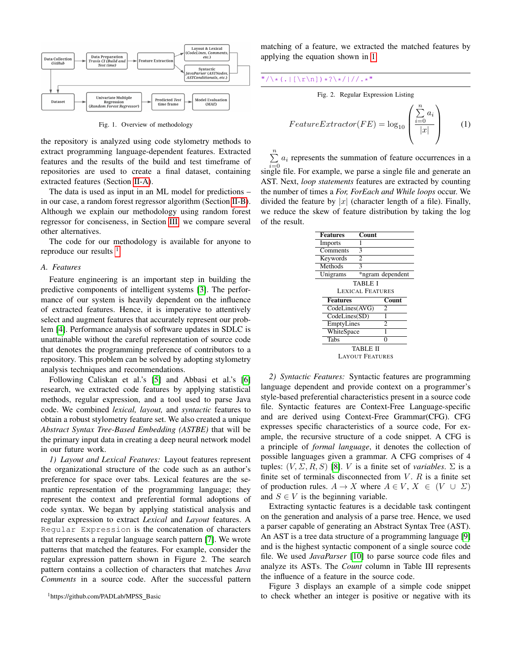

<span id="page-1-0"></span>Fig. 1. Overview of methodology

the repository is analyzed using code stylometry methods to extract programming language-dependent features. Extracted features and the results of the build and test timeframe of repositories are used to create a final dataset, containing extracted features (Section [II-A\)](#page-1-1).

The data is used as input in an ML model for predictions – in our case, a random forest regressor algorithm (Section [II-B\)](#page-2-0). Although we explain our methodology using random forest regressor for conciseness, in Section [III,](#page-2-1) we compare several other alternatives.

The code for our methodology is available for anyone to reproduce our results  $<sup>1</sup>$  $<sup>1</sup>$  $<sup>1</sup>$ .</sup>

## <span id="page-1-1"></span>*A. Features*

Feature engineering is an important step in building the predictive components of intelligent systems [\[3\]](#page-3-2). The performance of our system is heavily dependent on the influence of extracted features. Hence, it is imperative to attentively select and augment features that accurately represent our problem [\[4\]](#page-3-3). Performance analysis of software updates in SDLC is unattainable without the careful representation of source code that denotes the programming preference of contributors to a repository. This problem can be solved by adopting stylometry analysis techniques and recommendations.

Following Caliskan et al.'s [\[5\]](#page-3-4) and Abbasi et al.'s [\[6\]](#page-3-5) research, we extracted code features by applying statistical methods, regular expression, and a tool used to parse Java code. We combined *lexical, layout,* and *syntactic* features to obtain a robust stylometry feature set. We also created a unique *Abstract Syntax Tree-Based Embedding (ASTBE)* that will be the primary input data in creating a deep neural network model in our future work.

*1) Layout and Lexical Features:* Layout features represent the organizational structure of the code such as an author's preference for space over tabs. Lexical features are the semantic representation of the programming language; they represent the context and preferential formal adoptions of code syntax. We began by applying statistical analysis and regular expression to extract *Lexical* and *Layout* features. A Regular Expression is the concatenation of characters that represents a regular language search pattern [\[7\]](#page-3-6). We wrote patterns that matched the features. For example, consider the regular expression pattern shown in Figure 2. The search pattern contains a collection of characters that matches *Java Comments* in a source code. After the successful pattern

<span id="page-1-2"></span><sup>1</sup>https://github.com/PADLab/MPSS Basic

matching of a feature, we extracted the matched features by applying the equation shown in [1.](#page-1-3)

$$
^{\mathfrak n}/\setminus \ast \left( \; . \; \left[ \; \setminus r \setminus n \right] \right) \, \star \, ? \setminus \ast \, / \; \left/ \; / \; . \; \star \, ^{\mathfrak n} \right.
$$

<span id="page-1-3"></span>Fig. 2. Regular Expression Listing  
\n
$$
FeatureExtractor(FE) = \log_{10}\left(\frac{\sum_{i=0}^{n} a_i}{|x|}\right)
$$
\n(1)

 $\sum_{i=1}^{n} a_i$  represents the summation of feature occurrences in a single file. For example, we parse a single file and generate an AST. Next, *loop statements* features are extracted by counting the number of times a *For, ForEach and While loops* occur. We divided the feature by  $|x|$  (character length of a file). Finally, we reduce the skew of feature distribution by taking the log of the result.

| <b>Features</b>   | Count           |                  |
|-------------------|-----------------|------------------|
| Imports           | 1               |                  |
| Comments          | 3               |                  |
| Keywords          | $\overline{c}$  |                  |
| Methods           | 3               |                  |
| Unigrams          |                 | *ngram dependent |
|                   | <b>TABLE I</b>  |                  |
| LEXICAL FEATURES  |                 |                  |
| <b>Features</b>   |                 | Count            |
| CodeLines(AVG)    |                 | 2                |
| CodeLines(SD)     |                 |                  |
| EmptyLines        |                 | $\overline{c}$   |
| <b>WhiteSpace</b> |                 |                  |
| <b>Tabs</b>       |                 |                  |
|                   |                 |                  |
|                   | <b>TABLE II</b> |                  |

*2) Syntactic Features:* Syntactic features are programming language dependent and provide context on a programmer's style-based preferential characteristics present in a source code file. Syntactic features are Context-Free Language-specific and are derived using Context-Free Grammar(CFG). CFG expresses specific characteristics of a source code, For example, the recursive structure of a code snippet. A CFG is a principle of *formal language*, it denotes the collection of possible languages given a grammar. A CFG comprises of 4 tuples:  $(V, \Sigma, R, S)$  [\[8\]](#page-3-7). *V* is a finite set of *variables*.  $\Sigma$  is a finite set of terminals disconnected from  $V$ .  $R$  is a finite set of production rules.  $A \to X$  where  $A \in V$ ,  $X \in (V \cup \Sigma)$ and  $S \in V$  is the beginning variable.

Extracting syntactic features is a decidable task contingent on the generation and analysis of a parse tree. Hence, we used a parser capable of generating an Abstract Syntax Tree (AST). An AST is a tree data structure of a programming language [\[9\]](#page-3-8) and is the highest syntactic component of a single source code file. We used *JavaParser* [\[10\]](#page-3-9) to parse source code files and analyze its ASTs. The *Count* column in Table III represents the influence of a feature in the source code.

Figure 3 displays an example of a simple code snippet to check whether an integer is positive or negative with its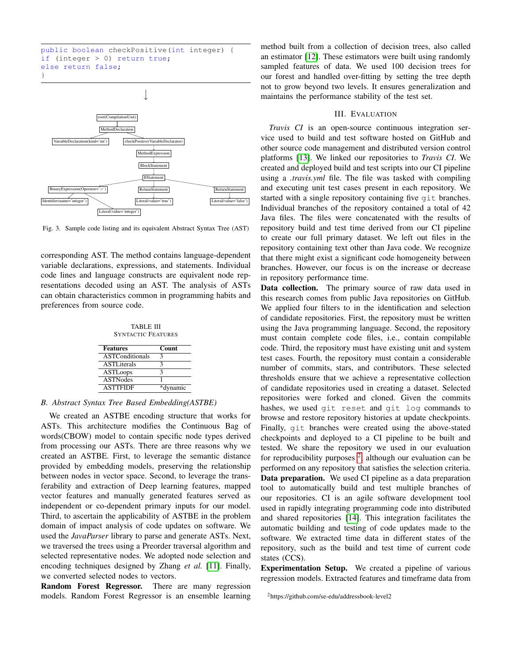public boolean checkPositive(int integer) { if (integer > 0) return true; else return false; }



Fig. 3. Sample code listing and its equivalent Abstract Syntax Tree (AST)

corresponding AST. The method contains language-dependent variable declarations, expressions, and statements. Individual code lines and language constructs are equivalent node representations decoded using an AST. The analysis of ASTs can obtain characteristics common in programming habits and preferences from source code.

TABLE III SYNTACTIC FEATURES

| <b>Features</b>         | Count    |
|-------------------------|----------|
| <b>ASTC</b> onditionals |          |
| <b>ASTLiterals</b>      |          |
| <b>ASTLoops</b>         |          |
| <b>ASTNodes</b>         |          |
| <b>ASTTFIDF</b>         | *dynamic |

### <span id="page-2-0"></span>*B. Abstract Syntax Tree Based Embedding(ASTBE)*

We created an ASTBE encoding structure that works for ASTs. This architecture modifies the Continuous Bag of words(CBOW) model to contain specific node types derived from processing our ASTs. There are three reasons why we created an ASTBE. First, to leverage the semantic distance provided by embedding models, preserving the relationship between nodes in vector space. Second, to leverage the transferability and extraction of Deep learning features, mapped vector features and manually generated features served as independent or co-dependent primary inputs for our model. Third, to ascertain the applicability of ASTBE in the problem domain of impact analysis of code updates on software. We used the *JavaParser* library to parse and generate ASTs. Next, we traversed the trees using a Preorder traversal algorithm and selected representative nodes. We adopted node selection and encoding techniques designed by Zhang *et al.* [\[11\]](#page-3-10). Finally, we converted selected nodes to vectors.

Random Forest Regressor. There are many regression models. Random Forest Regressor is an ensemble learning method built from a collection of decision trees, also called an estimator [\[12\]](#page-3-11). These estimators were built using randomly sampled features of data. We used 100 decision trees for our forest and handled over-fitting by setting the tree depth not to grow beyond two levels. It ensures generalization and maintains the performance stability of the test set.

## III. EVALUATION

<span id="page-2-1"></span>*Travis CI* is an open-source continuous integration service used to build and test software hosted on GitHub and other source code management and distributed version control platforms [\[13\]](#page-3-12). We linked our repositories to *Travis CI*. We created and deployed build and test scripts into our CI pipeline using a *.travis.yml* file. The file was tasked with compiling and executing unit test cases present in each repository. We started with a single repository containing five git branches. Individual branches of the repository contained a total of 42 Java files. The files were concatenated with the results of repository build and test time derived from our CI pipeline to create our full primary dataset. We left out files in the repository containing text other than Java code. We recognize that there might exist a significant code homogeneity between branches. However, our focus is on the increase or decrease in repository performance time.

Data collection. The primary source of raw data used in this research comes from public Java repositories on GitHub. We applied four filters to in the identification and selection of candidate repositories. First, the repository must be written using the Java programming language. Second, the repository must contain complete code files, i.e., contain compilable code. Third, the repository must have existing unit and system test cases. Fourth, the repository must contain a considerable number of commits, stars, and contributors. These selected thresholds ensure that we achieve a representative collection of candidate repositories used in creating a dataset. Selected repositories were forked and cloned. Given the commits hashes, we used git reset and git log commands to browse and restore repository histories at update checkpoints. Finally, git branches were created using the above-stated checkpoints and deployed to a CI pipeline to be built and tested. We share the repository we used in our evaluation for reproducibility purposes  $2$ , although our evaluation can be performed on any repository that satisfies the selection criteria. Data preparation. We used CI pipeline as a data preparation tool to automatically build and test multiple branches of our repositories. CI is an agile software development tool used in rapidly integrating programming code into distributed and shared repositories [\[14\]](#page-3-13). This integration facilitates the automatic building and testing of code updates made to the software. We extracted time data in different states of the repository, such as the build and test time of current code states (CCS).

Experimentation Setup. We created a pipeline of various regression models. Extracted features and timeframe data from

<span id="page-2-2"></span><sup>2</sup>https://github.com/se-edu/addressbook-level2